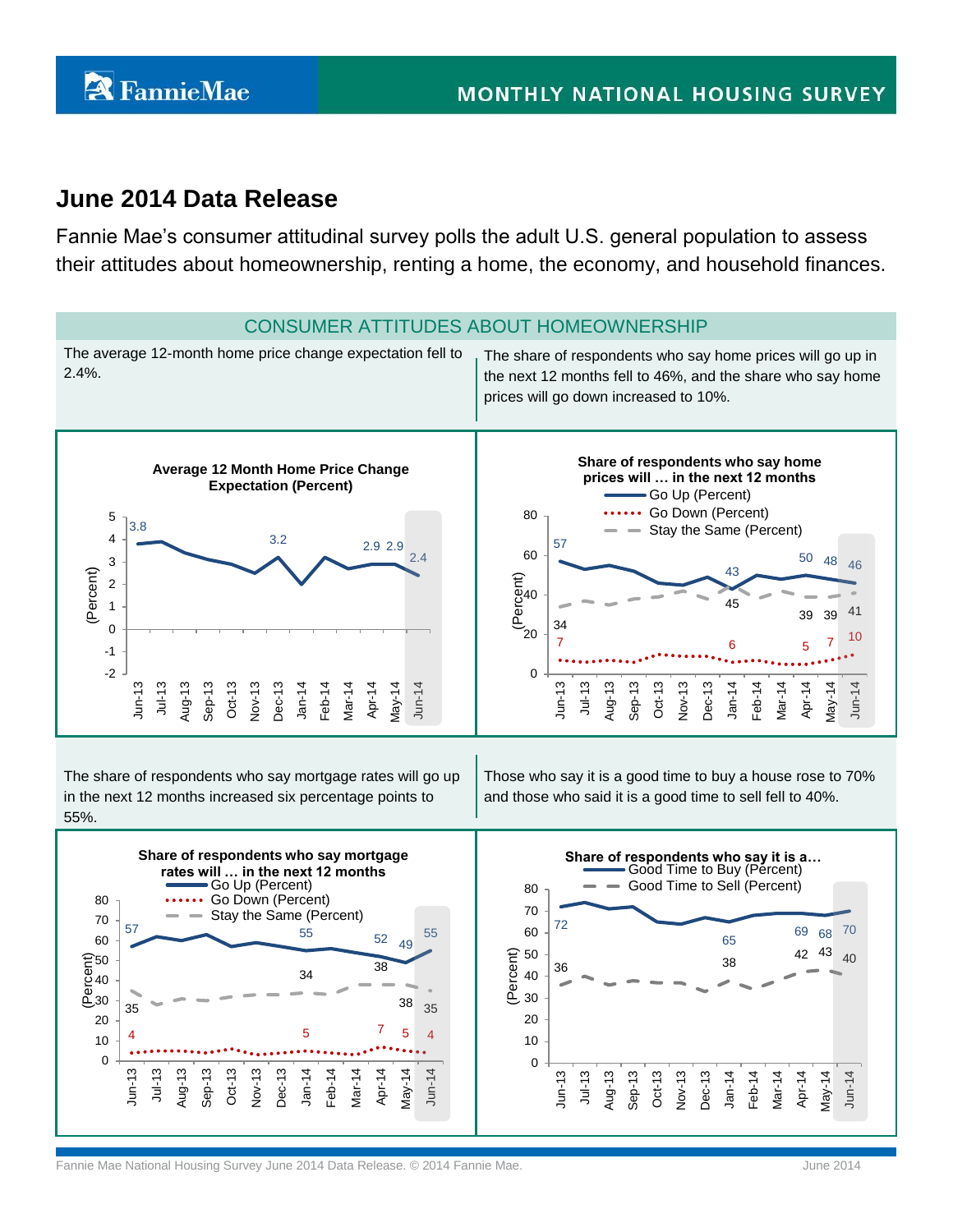# **June 2014 Data Release**

Fannie Mae's consumer attitudinal survey polls the adult U.S. general population to assess their attitudes about homeownership, renting a home, the economy, and household finances.

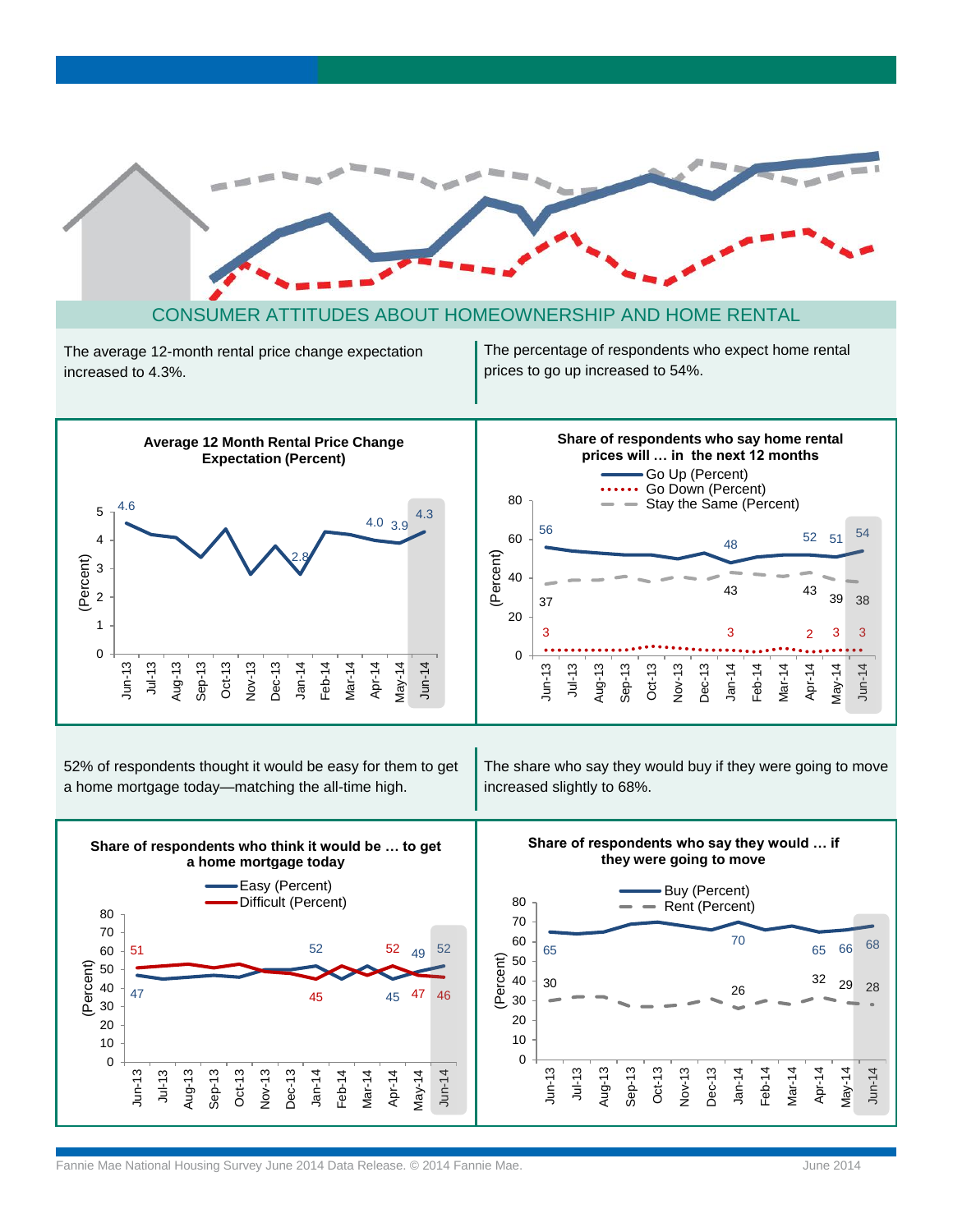



52% of respondents thought it would be easy for them to get a home mortgage today—matching the all-time high.

The share who say they would buy if they were going to move increased slightly to 68%.

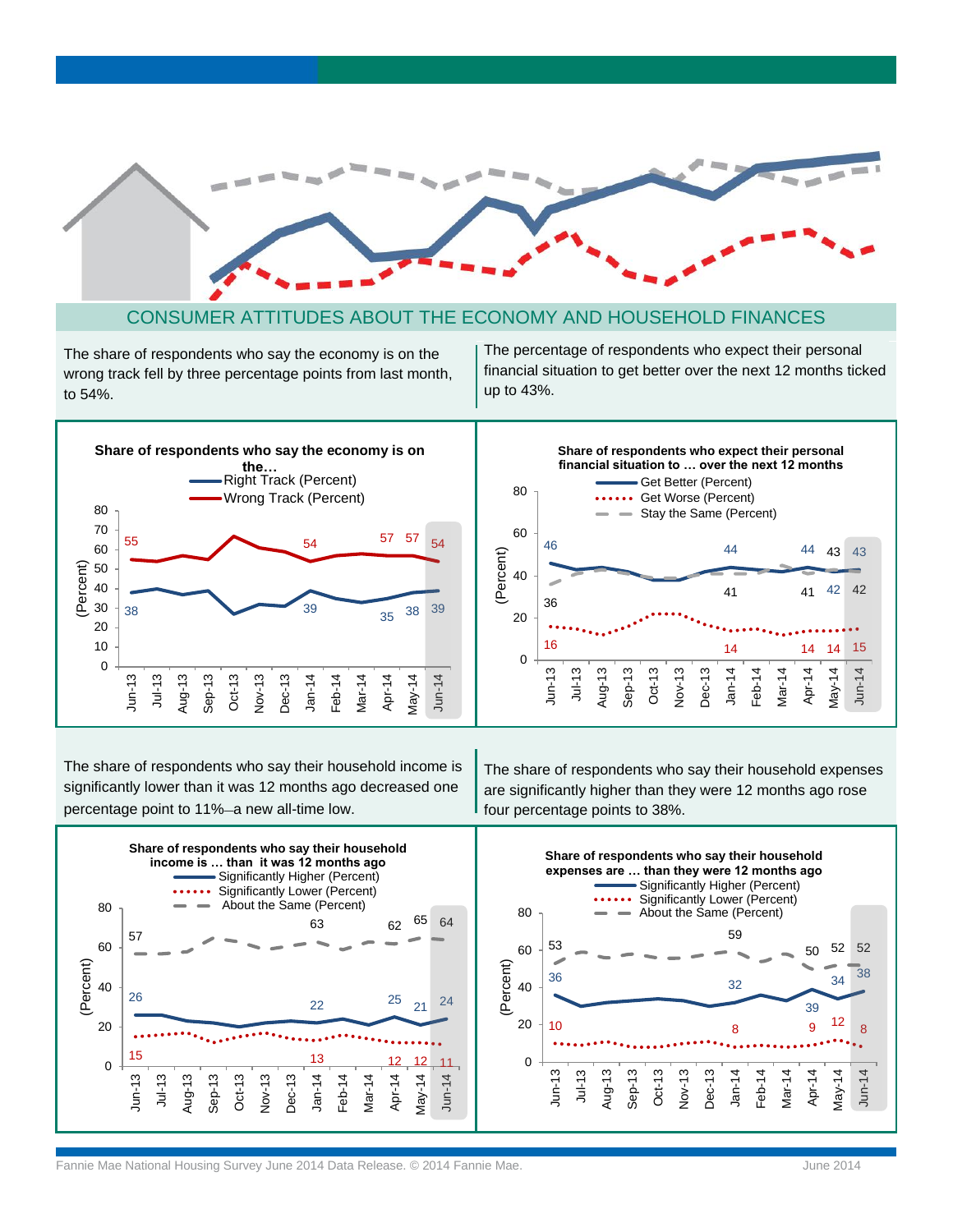

### CONSUMER ATTITUDES ABOUT THE ECONOMY AND HOUSEHOLD FINANCES

The share of respondents who say the economy is on the wrong track fell by three percentage points from last month, to 54%.

The percentage of respondents who expect their personal financial situation to get better over the next 12 months ticked up to 43%.



The share of respondents who say their household income is significantly lower than it was 12 months ago decreased one percentage point to 11%–a new all-time low.

The share of respondents who say their household expenses are significantly higher than they were 12 months ago rose four percentage points to 38%.



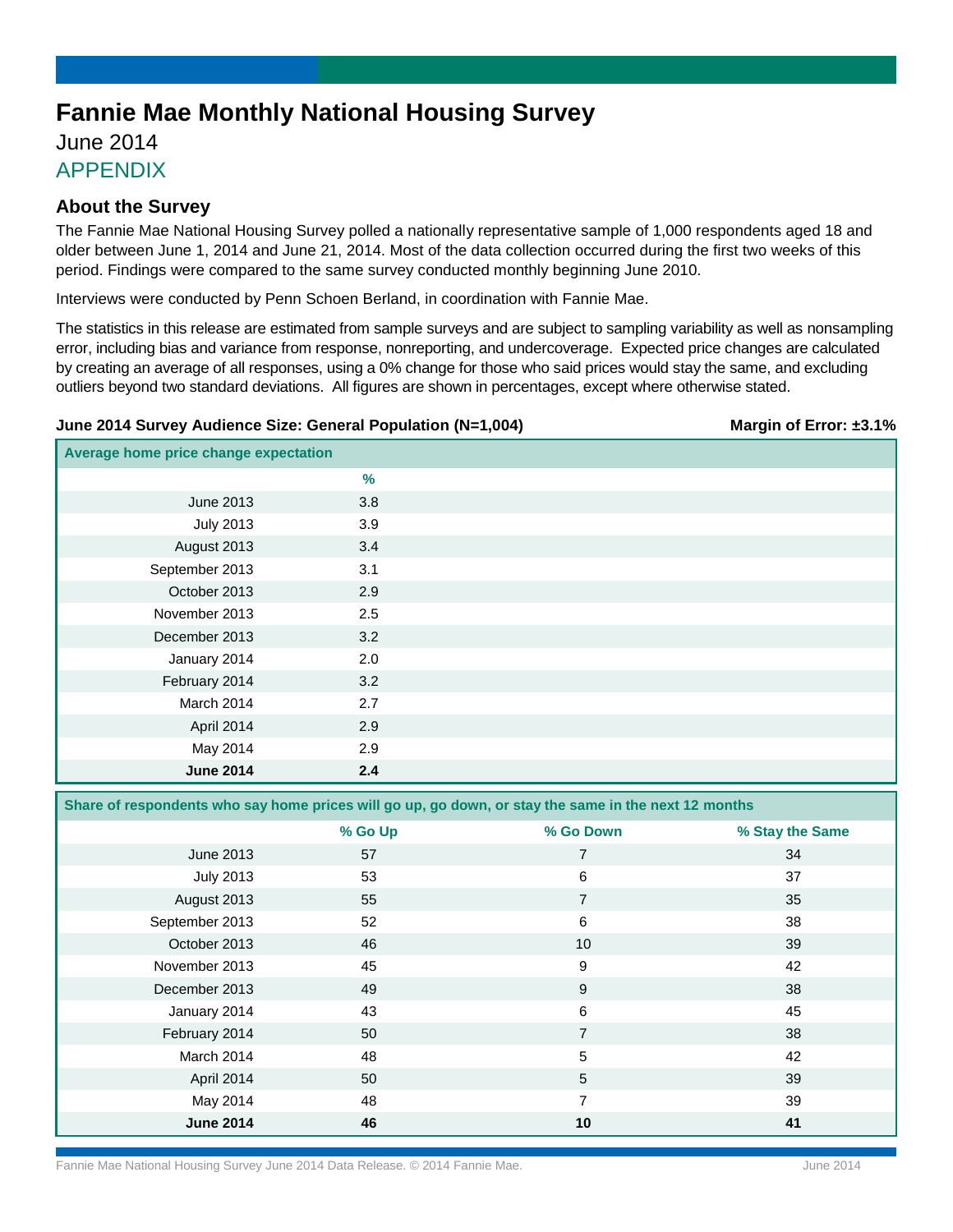# **Fannie Mae Monthly National Housing Survey**

# June 2014 APPENDIX

## **About the Survey**

The Fannie Mae National Housing Survey polled a nationally representative sample of 1,000 respondents aged 18 and older between June 1, 2014 and June 21, 2014. Most of the data collection occurred during the first two weeks of this period. Findings were compared to the same survey conducted monthly beginning June 2010.

Interviews were conducted by Penn Schoen Berland, in coordination with Fannie Mae.

The statistics in this release are estimated from sample surveys and are subject to sampling variability as well as nonsampling error, including bias and variance from response, nonreporting, and undercoverage. Expected price changes are calculated by creating an average of all responses, using a 0% change for those who said prices would stay the same, and excluding outliers beyond two standard deviations. All figures are shown in percentages, except where otherwise stated.

### **June 2014 Survey Audience Size: General Population (N=1,004) Margin of Error: ±3.1%**

| Average home price change expectation |     |  |
|---------------------------------------|-----|--|
|                                       | %   |  |
| June 2013                             | 3.8 |  |
| <b>July 2013</b>                      | 3.9 |  |
| August 2013                           | 3.4 |  |
| September 2013                        | 3.1 |  |
| October 2013                          | 2.9 |  |
| November 2013                         | 2.5 |  |
| December 2013                         | 3.2 |  |
| January 2014                          | 2.0 |  |
| February 2014                         | 3.2 |  |
| March 2014                            | 2.7 |  |
| April 2014                            | 2.9 |  |
| May 2014                              | 2.9 |  |
| <b>June 2014</b>                      | 2.4 |  |

**Share of respondents who say home prices will go up, go down, or stay the same in the next 12 months**

|                  | % Go Up | % Go Down       | % Stay the Same |
|------------------|---------|-----------------|-----------------|
| June 2013        | 57      | $\overline{7}$  | 34              |
| <b>July 2013</b> | 53      | 6               | 37              |
| August 2013      | 55      | 7               | 35              |
| September 2013   | 52      | 6               | 38              |
| October 2013     | 46      | 10              | 39              |
| November 2013    | 45      | 9               | 42              |
| December 2013    | 49      | 9               | 38              |
| January 2014     | 43      | 6               | 45              |
| February 2014    | 50      | $\overline{7}$  | 38              |
| March 2014       | 48      | 5               | 42              |
| April 2014       | 50      | $5\phantom{.0}$ | 39              |
| May 2014         | 48      | $\overline{7}$  | 39              |
| <b>June 2014</b> | 46      | 10              | 41              |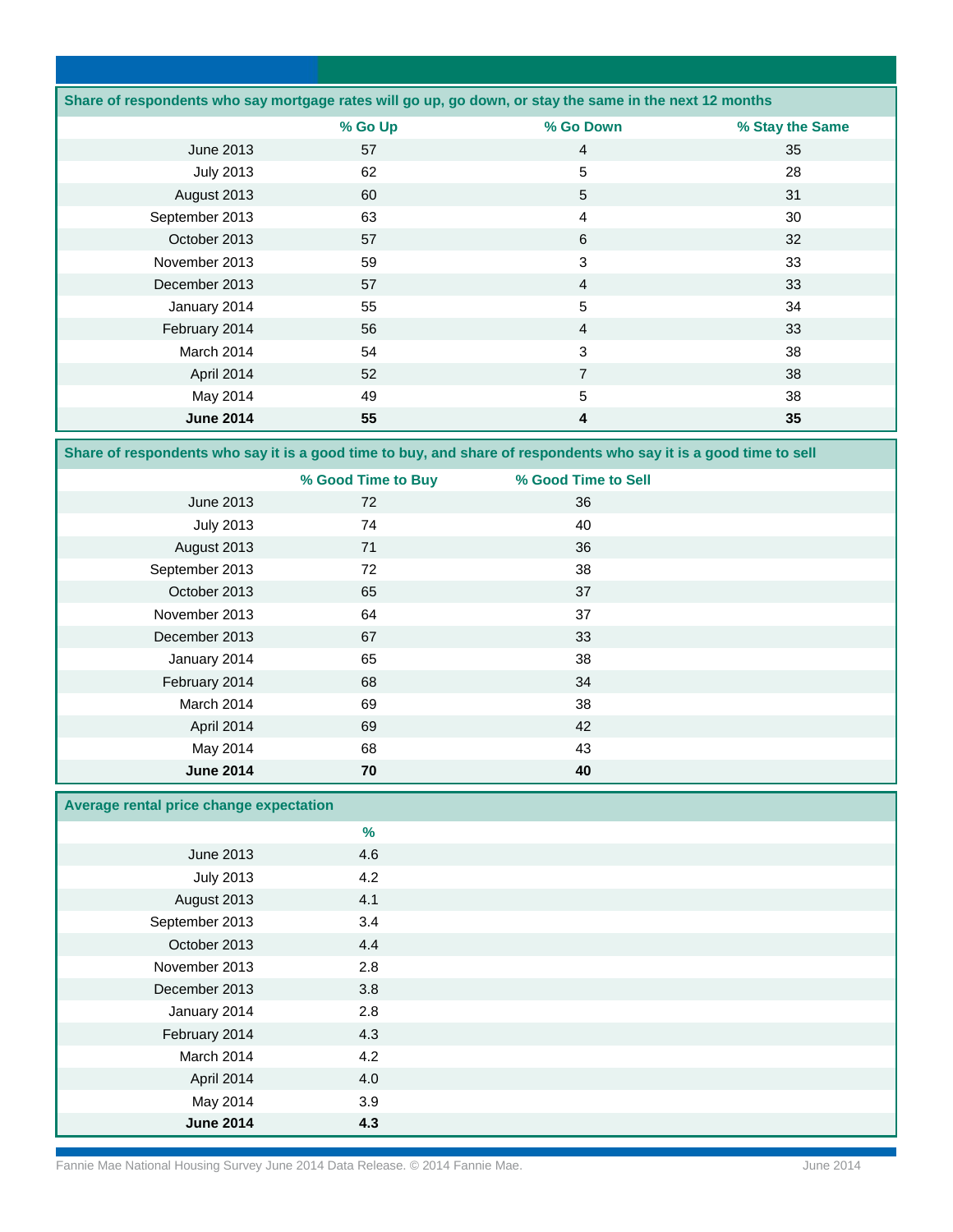| Share of respondents who say mortgage rates will go up, go down, or stay the same in the next 12 months |         |                |                 |
|---------------------------------------------------------------------------------------------------------|---------|----------------|-----------------|
|                                                                                                         | % Go Up | % Go Down      | % Stay the Same |
| June 2013                                                                                               | 57      | $\overline{4}$ | 35              |
| <b>July 2013</b>                                                                                        | 62      | 5              | 28              |
| August 2013                                                                                             | 60      | 5              | 31              |
| September 2013                                                                                          | 63      | 4              | 30              |
| October 2013                                                                                            | 57      | 6              | 32              |
| November 2013                                                                                           | 59      | 3              | 33              |
| December 2013                                                                                           | 57      | $\overline{4}$ | 33              |
| January 2014                                                                                            | 55      | 5              | 34              |
| February 2014                                                                                           | 56      | $\overline{4}$ | 33              |
| March 2014                                                                                              | 54      | 3              | 38              |
| April 2014                                                                                              | 52      | $\overline{7}$ | 38              |
| May 2014                                                                                                | 49      | 5              | 38              |
| <b>June 2014</b>                                                                                        | 55      | 4              | 35              |

**Share of respondents who say it is a good time to buy, and share of respondents who say it is a good time to sell**

|                  | % Good Time to Buy | % Good Time to Sell |  |
|------------------|--------------------|---------------------|--|
| June 2013        | 72                 | 36                  |  |
| <b>July 2013</b> | 74                 | 40                  |  |
| August 2013      | 71                 | 36                  |  |
| September 2013   | 72                 | 38                  |  |
| October 2013     | 65                 | 37                  |  |
| November 2013    | 64                 | 37                  |  |
| December 2013    | 67                 | 33                  |  |
| January 2014     | 65                 | 38                  |  |
| February 2014    | 68                 | 34                  |  |
| March 2014       | 69                 | 38                  |  |
| April 2014       | 69                 | 42                  |  |
| May 2014         | 68                 | 43                  |  |
| <b>June 2014</b> | 70                 | 40                  |  |

## **Average rental price change expectation**

|                  | $\%$ |  |
|------------------|------|--|
| June 2013        | 4.6  |  |
| <b>July 2013</b> | 4.2  |  |
| August 2013      | 4.1  |  |
| September 2013   | 3.4  |  |
| October 2013     | 4.4  |  |
| November 2013    | 2.8  |  |
| December 2013    | 3.8  |  |
| January 2014     | 2.8  |  |
| February 2014    | 4.3  |  |
| March 2014       | 4.2  |  |
| April 2014       | 4.0  |  |
| May 2014         | 3.9  |  |
| <b>June 2014</b> | 4.3  |  |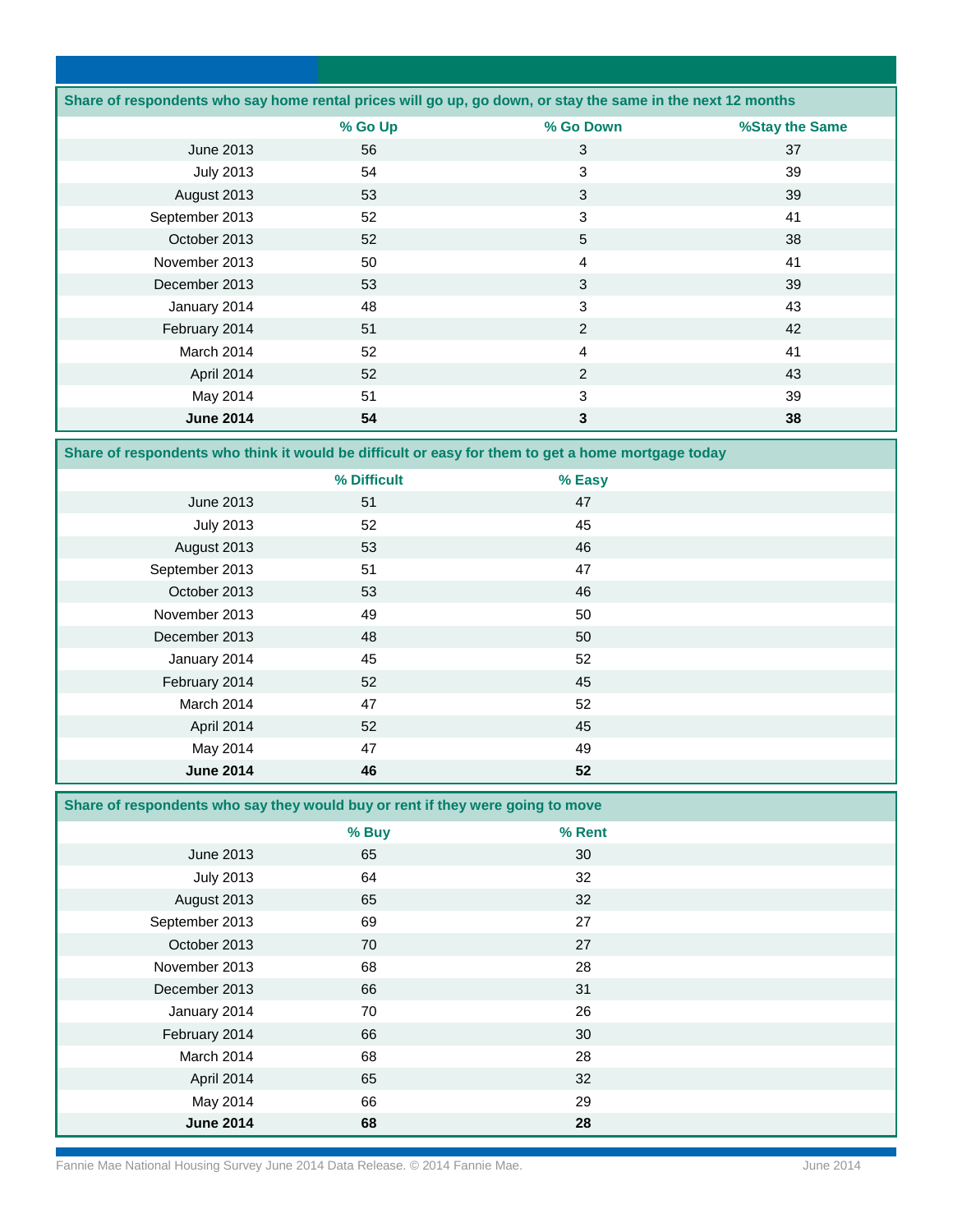|                  |         | Share of respondents who say home rental prices will go up, go down, or stay the same in the next 12 months |                |
|------------------|---------|-------------------------------------------------------------------------------------------------------------|----------------|
|                  | % Go Up | % Go Down                                                                                                   | %Stay the Same |
| June 2013        | 56      | 3                                                                                                           | 37             |
| <b>July 2013</b> | 54      | 3                                                                                                           | 39             |
| August 2013      | 53      | 3                                                                                                           | 39             |
| September 2013   | 52      | 3                                                                                                           | 41             |
| October 2013     | 52      | 5                                                                                                           | 38             |
| November 2013    | 50      | 4                                                                                                           | 41             |
| December 2013    | 53      | 3                                                                                                           | 39             |
| January 2014     | 48      | 3                                                                                                           | 43             |
| February 2014    | 51      | 2                                                                                                           | 42             |
| March 2014       | 52      | 4                                                                                                           | 41             |
| April 2014       | 52      | 2                                                                                                           | 43             |
| May 2014         | 51      | 3                                                                                                           | 39             |
| <b>June 2014</b> | 54      | 3                                                                                                           | 38             |

**Share of respondents who think it would be difficult or easy for them to get a home mortgage today**

|                  | % Difficult | % Easy |  |
|------------------|-------------|--------|--|
| June 2013        | 51          | 47     |  |
| <b>July 2013</b> | 52          | 45     |  |
| August 2013      | 53          | 46     |  |
| September 2013   | 51          | 47     |  |
| October 2013     | 53          | 46     |  |
| November 2013    | 49          | 50     |  |
| December 2013    | 48          | 50     |  |
| January 2014     | 45          | 52     |  |
| February 2014    | 52          | 45     |  |
| March 2014       | 47          | 52     |  |
| April 2014       | 52          | 45     |  |
| May 2014         | 47          | 49     |  |
| <b>June 2014</b> | 46          | 52     |  |

### **Share of respondents who say they would buy or rent if they were going to move**

|                  | % Buy | % Rent |  |
|------------------|-------|--------|--|
| June 2013        | 65    | 30     |  |
| <b>July 2013</b> | 64    | 32     |  |
| August 2013      | 65    | 32     |  |
| September 2013   | 69    | 27     |  |
| October 2013     | 70    | 27     |  |
| November 2013    | 68    | 28     |  |
| December 2013    | 66    | 31     |  |
| January 2014     | 70    | 26     |  |
| February 2014    | 66    | 30     |  |
| March 2014       | 68    | 28     |  |
| April 2014       | 65    | 32     |  |
| May 2014         | 66    | 29     |  |
| <b>June 2014</b> | 68    | 28     |  |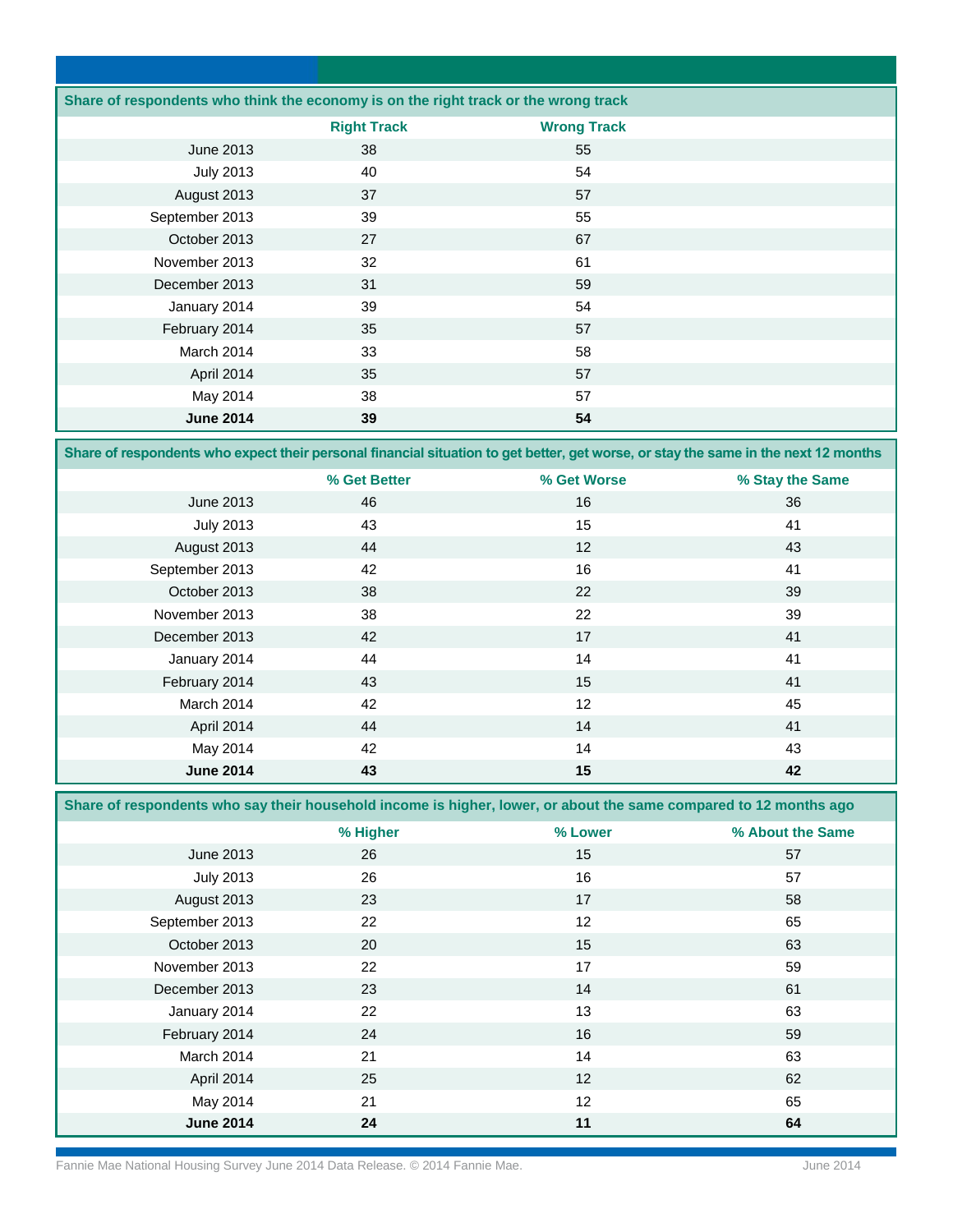| Share of respondents who think the economy is on the right track or the wrong track |                    |                    |  |
|-------------------------------------------------------------------------------------|--------------------|--------------------|--|
|                                                                                     | <b>Right Track</b> | <b>Wrong Track</b> |  |
| June 2013                                                                           | 38                 | 55                 |  |
| <b>July 2013</b>                                                                    | 40                 | 54                 |  |
| August 2013                                                                         | 37                 | 57                 |  |
| September 2013                                                                      | 39                 | 55                 |  |
| October 2013                                                                        | 27                 | 67                 |  |
| November 2013                                                                       | 32                 | 61                 |  |
| December 2013                                                                       | 31                 | 59                 |  |
| January 2014                                                                        | 39                 | 54                 |  |
| February 2014                                                                       | 35                 | 57                 |  |
| March 2014                                                                          | 33                 | 58                 |  |
| April 2014                                                                          | 35                 | 57                 |  |
| May 2014                                                                            | 38                 | 57                 |  |
| <b>June 2014</b>                                                                    | 39                 | 54                 |  |

**Share of respondents who expect their personal financial situation to get better, get worse, or stay the same in the next 12 months**

|                  | % Get Better | % Get Worse | % Stay the Same |
|------------------|--------------|-------------|-----------------|
| June 2013        | 46           | 16          | 36              |
| <b>July 2013</b> | 43           | 15          | 41              |
| August 2013      | 44           | 12          | 43              |
| September 2013   | 42           | 16          | 41              |
| October 2013     | 38           | 22          | 39              |
| November 2013    | 38           | 22          | 39              |
| December 2013    | 42           | 17          | 41              |
| January 2014     | 44           | 14          | 41              |
| February 2014    | 43           | 15          | 41              |
| March 2014       | 42           | 12          | 45              |
| April 2014       | 44           | 14          | 41              |
| May 2014         | 42           | 14          | 43              |
| <b>June 2014</b> | 43           | 15          | 42              |

**Share of respondents who say their household income is higher, lower, or about the same compared to 12 months ago** 

|                  | % Higher | % Lower | % About the Same |
|------------------|----------|---------|------------------|
| June 2013        | 26       | 15      | 57               |
| <b>July 2013</b> | 26       | 16      | 57               |
| August 2013      | 23       | 17      | 58               |
| September 2013   | 22       | 12      | 65               |
| October 2013     | 20       | 15      | 63               |
| November 2013    | 22       | 17      | 59               |
| December 2013    | 23       | 14      | 61               |
| January 2014     | 22       | 13      | 63               |
| February 2014    | 24       | 16      | 59               |
| March 2014       | 21       | 14      | 63               |
| April 2014       | 25       | 12      | 62               |
| May 2014         | 21       | 12      | 65               |
| <b>June 2014</b> | 24       | 11      | 64               |